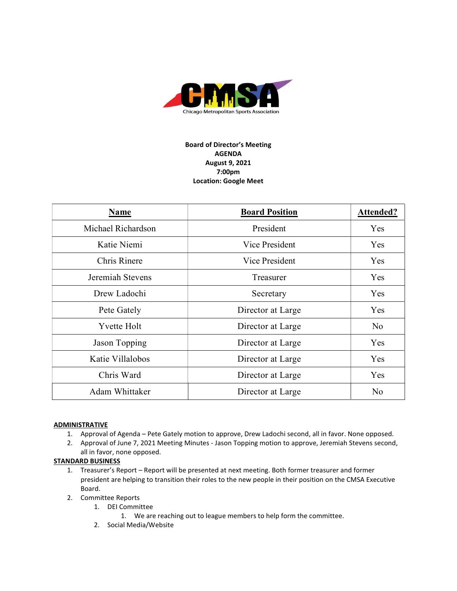

# Board of Director's Meeting AGENDA August 9, 2021 7:00pm Location: Google Meet

| Name               | <b>Board Position</b> | <b>Attended?</b> |
|--------------------|-----------------------|------------------|
| Michael Richardson | President             | Yes              |
| Katie Niemi        | Vice President        | Yes              |
| Chris Rinere       | Vice President        | Yes.             |
| Jeremiah Stevens   | Treasurer             | Yes              |
| Drew Ladochi       | Secretary             | Yes              |
| Pete Gately        | Director at Large     | Yes              |
| <b>Yvette Holt</b> | Director at Large     | No               |
| Jason Topping      | Director at Large     | Yes              |
| Katie Villalobos   | Director at Large     | Yes              |
| Chris Ward         | Director at Large     | Yes              |
| Adam Whittaker     | Director at Large     | N <sub>o</sub>   |

## **ADMINISTRATIVE**

- 1. Approval of Agenda Pete Gately motion to approve, Drew Ladochi second, all in favor. None opposed.
- 2. Approval of June 7, 2021 Meeting Minutes Jason Topping motion to approve, Jeremiah Stevens second, all in favor, none opposed.

### STANDARD BUSINESS

- 1. Treasurer's Report Report will be presented at next meeting. Both former treasurer and former president are helping to transition their roles to the new people in their position on the CMSA Executive Board.
- 2. Committee Reports
	- 1. DEI Committee
		- 1. We are reaching out to league members to help form the committee.
	- 2. Social Media/Website